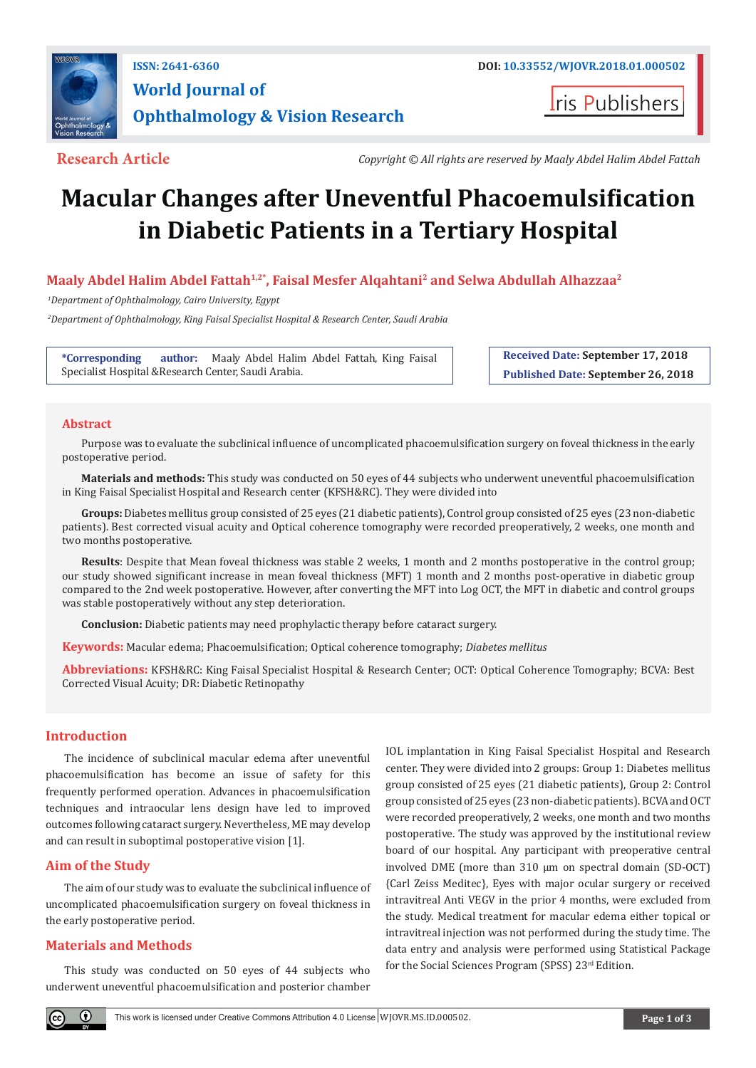

**I**ris Publishers

**Research Article** *Copyright © All rights are reserved by Maaly Abdel Halim Abdel Fattah*

# **Macular Changes after Uneventful Phacoemulsification in Diabetic Patients in a Tertiary Hospital**

# **Maaly Abdel Halim Abdel Fattah1,2\*, Faisal Mesfer Alqahtani2 and Selwa Abdullah Alhazzaa2**

 *1Department of Ophthalmology, Cairo University, Egypt*

 *2Department of Ophthalmology, King Faisal Specialist Hospital & Research Center, Saudi Arabia*

**\*Corresponding author:** Maaly Abdel Halim Abdel Fattah, King Faisal Specialist Hospital &Research Center, Saudi Arabia.

**Received Date: September 17, 2018 Published Date: September 26, 2018**

# **Abstract**

Purpose was to evaluate the subclinical influence of uncomplicated phacoemulsification surgery on foveal thickness in the early postoperative period.

**Materials and methods:** This study was conducted on 50 eyes of 44 subjects who underwent uneventful phacoemulsification in King Faisal Specialist Hospital and Research center (KFSH&RC). They were divided into

**Groups:** Diabetes mellitus group consisted of 25 eyes (21 diabetic patients), Control group consisted of 25 eyes (23 non-diabetic patients). Best corrected visual acuity and Optical coherence tomography were recorded preoperatively, 2 weeks, one month and two months postoperative.

**Results**: Despite that Mean foveal thickness was stable 2 weeks, 1 month and 2 months postoperative in the control group; our study showed significant increase in mean foveal thickness (MFT) 1 month and 2 months post-operative in diabetic group compared to the 2nd week postoperative. However, after converting the MFT into Log OCT, the MFT in diabetic and control groups was stable postoperatively without any step deterioration.

**Conclusion:** Diabetic patients may need prophylactic therapy before cataract surgery.

**Keywords:** Macular edema; Phacoemulsification; Optical coherence tomography; *Diabetes mellitus*

**Abbreviations:** KFSH&RC: King Faisal Specialist Hospital & Research Center; OCT: Optical Coherence Tomography; BCVA: Best Corrected Visual Acuity; DR: Diabetic Retinopathy

# **Introduction**

The incidence of subclinical macular edema after uneventful phacoemulsification has become an issue of safety for this frequently performed operation. Advances in phacoemulsification techniques and intraocular lens design have led to improved outcomes following cataract surgery. Nevertheless, ME may develop and can result in suboptimal postoperative vision [1].

# **Aim of the Study**

The aim of our study was to evaluate the subclinical influence of uncomplicated phacoemulsification surgery on foveal thickness in the early postoperative period.

# **Materials and Methods**

This study was conducted on 50 eyes of 44 subjects who underwent uneventful phacoemulsification and posterior chamber

IOL implantation in King Faisal Specialist Hospital and Research center. They were divided into 2 groups: Group 1: Diabetes mellitus group consisted of 25 eyes (21 diabetic patients), Group 2: Control group consisted of 25 eyes (23 non-diabetic patients). BCVA and OCT were recorded preoperatively, 2 weeks, one month and two months postoperative. The study was approved by the institutional review board of our hospital. Any participant with preoperative central involved DME (more than 310 µm on spectral domain (SD-OCT) {Carl Zeiss Meditec}, Eyes with major ocular surgery or received intravitreal Anti VEGV in the prior 4 months, were excluded from the study. Medical treatment for macular edema either topical or intravitreal injection was not performed during the study time. The data entry and analysis were performed using Statistical Package for the Social Sciences Program (SPSS) 23rd Edition.

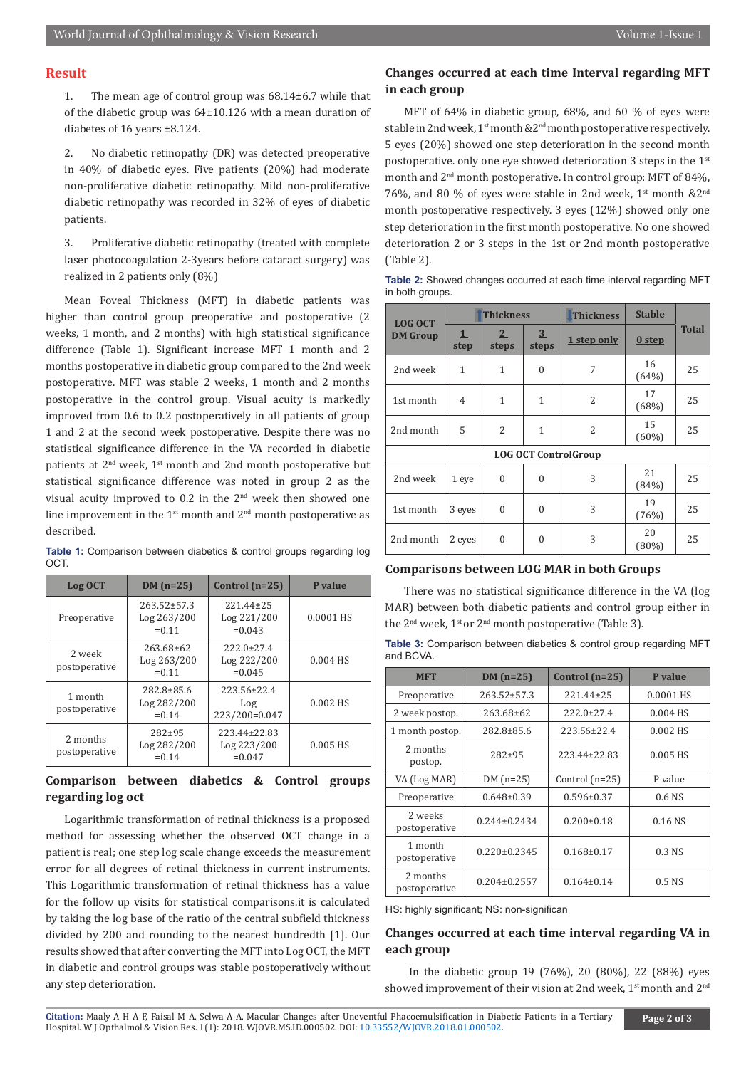# **Result**

1. The mean age of control group was 68.14±6.7 while that of the diabetic group was 64±10.126 with a mean duration of diabetes of 16 years ±8.124.

2. No diabetic retinopathy (DR) was detected preoperative in 40% of diabetic eyes. Five patients (20%) had moderate non-proliferative diabetic retinopathy. Mild non-proliferative diabetic retinopathy was recorded in 32% of eyes of diabetic patients.

3. Proliferative diabetic retinopathy (treated with complete laser photocoagulation 2-3years before cataract surgery) was realized in 2 patients only (8%)

Mean Foveal Thickness (MFT) in diabetic patients was higher than control group preoperative and postoperative (2 weeks, 1 month, and 2 months) with high statistical significance difference (Table 1). Significant increase MFT 1 month and 2 months postoperative in diabetic group compared to the 2nd week postoperative. MFT was stable 2 weeks, 1 month and 2 months postoperative in the control group. Visual acuity is markedly improved from 0.6 to 0.2 postoperatively in all patients of group 1 and 2 at the second week postoperative. Despite there was no statistical significance difference in the VA recorded in diabetic patients at 2<sup>nd</sup> week, 1<sup>st</sup> month and 2nd month postoperative but statistical significance difference was noted in group 2 as the visual acuity improved to 0.2 in the 2nd week then showed one line improvement in the  $1<sup>st</sup>$  month and  $2<sup>nd</sup>$  month postoperative as described.

**Table 1:** Comparison between diabetics & control groups regarding log OCT.

| Log OCT                   | $DM(n=25)$                                   | Control $(n=25)$                             | P value    |
|---------------------------|----------------------------------------------|----------------------------------------------|------------|
| Preoperative              | $263.52 \pm 57.3$<br>Log 263/200<br>$= 0.11$ | 221.44±25<br>Log 221/200<br>$= 0.043$        | 0.0001 HS  |
| 2 week<br>postoperative   | $263.68 \pm 62$<br>Log 263/200<br>$= 0.11$   | $222.0 \pm 27.4$<br>Log 222/200<br>$= 0.045$ | 0.004 HS   |
| 1 month<br>postoperative  | $282.8 \pm 85.6$<br>Log 282/200<br>$= 0.14$  | 223.56±22.4<br>Log<br>223/200=0.047          | $0.002$ HS |
| 2 months<br>postoperative | $282 + 95$<br>Log 282/200<br>$= 0.14$        |                                              | 0.005 HS   |

# **Comparison between diabetics & Control groups regarding log oct**

Logarithmic transformation of retinal thickness is a proposed method for assessing whether the observed OCT change in a patient is real; one step log scale change exceeds the measurement error for all degrees of retinal thickness in current instruments. This Logarithmic transformation of retinal thickness has a value for the follow up visits for statistical comparisons.it is calculated by taking the log base of the ratio of the central subfield thickness divided by 200 and rounding to the nearest hundredth [1]. Our results showed that after converting the MFT into Log OCT, the MFT in diabetic and control groups was stable postoperatively without any step deterioration.

# **Changes occurred at each time Interval regarding MFT in each group**

MFT of 64% in diabetic group, 68%, and 60 % of eyes were stable in 2nd week,  $1^{st}$  month  $&2^{nd}$  month postoperative respectively. 5 eyes (20%) showed one step deterioration in the second month postoperative. only one eye showed deterioration 3 steps in the 1st month and 2nd month postoperative. In control group: MFT of 84%, 76%, and 80 % of eyes were stable in 2nd week, 1<sup>st</sup> month &2<sup>nd</sup> month postoperative respectively. 3 eyes (12%) showed only one step deterioration in the first month postoperative. No one showed deterioration 2 or 3 steps in the 1st or 2nd month postoperative (Table 2).

**Table 2:** Showed changes occurred at each time interval regarding MFT in both groups.

| <b>LOG OCT</b>              | <b>Thickness</b> |                                | <b>Thickness</b>               | <b>Stable</b>  |                   |              |  |
|-----------------------------|------------------|--------------------------------|--------------------------------|----------------|-------------------|--------------|--|
| <b>DM</b> Group             | 1<br><b>step</b> | 2 <sup>2</sup><br><b>steps</b> | $\overline{3}$<br><b>steps</b> | 1 step only    | 0 <sub>step</sub> | <b>Total</b> |  |
| 2nd week                    | $\mathbf{1}$     | 1                              | $\theta$                       | 7              | 16<br>(64%)       | 25           |  |
| 1st month                   | $\overline{4}$   | $\mathbf{1}$                   | 1                              | $\overline{2}$ | 17<br>(68%)       | 25           |  |
| 2nd month                   | 5                | $\overline{2}$                 | 1                              | $\overline{2}$ | 15<br>$(60\%)$    | 25           |  |
| <b>LOG OCT ControlGroup</b> |                  |                                |                                |                |                   |              |  |
| 2nd week                    | 1 eye            | $\mathbf{0}$                   | $\theta$                       | 3              | 21<br>(84%)       | 25           |  |
| 1st month                   | 3 eyes           | $\theta$                       | $\theta$                       | 3              | 19<br>(76%)       | 25           |  |
| 2nd month                   | 2 eyes           | $\Omega$                       | $\theta$                       | 3              | 20<br>$(80\%)$    | 25           |  |

# **Comparisons between LOG MAR in both Groups**

There was no statistical significance difference in the VA (log MAR) between both diabetic patients and control group either in the 2<sup>nd</sup> week, 1<sup>st</sup> or 2<sup>nd</sup> month postoperative (Table 3).

| <b>Table 3:</b> Comparison between diabetics & control group regarding MFT |  |  |  |
|----------------------------------------------------------------------------|--|--|--|
| and BCVA.                                                                  |  |  |  |

| <b>MFT</b>                | $DM(n=25)$         | Control $(n=25)$ | P value    |  |
|---------------------------|--------------------|------------------|------------|--|
| Preoperative              | $263.52 + 57.3$    | 221.44±25        | 0.0001 HS  |  |
| 2 week postop.            | $263.68 \pm 62$    | $222.0+27.4$     | $0.004$ HS |  |
| 1 month postop.           | $282.8 \pm 85.6$   | 223.56±22.4      | $0.002$ HS |  |
| 2 months<br>postop.       | $282 + 95$         | 223.44±22.83     | $0.005$ HS |  |
| VA (Log MAR)              | DM $(n=25)$        | Control $(n=25)$ | P value    |  |
| Preoperative              | $0.648\pm0.39$     | $0.596 \pm 0.37$ | $0.6$ NS   |  |
| 2 weeks<br>postoperative  | $0.244 \pm 0.2434$ | $0.200 \pm 0.18$ | $0.16$ NS  |  |
| 1 month<br>postoperative  | $0.220 \pm 0.2345$ | $0.168 \pm 0.17$ | $0.3$ NS   |  |
| 2 months<br>postoperative | $0.204 \pm 0.2557$ | $0.164 \pm 0.14$ | $0.5$ NS   |  |

HS: highly significant; NS: non-significan

# **Changes occurred at each time interval regarding VA in each group**

 In the diabetic group 19 (76%), 20 (80%), 22 (88%) eyes showed improvement of their vision at 2nd week, 1<sup>st</sup> month and 2<sup>nd</sup>